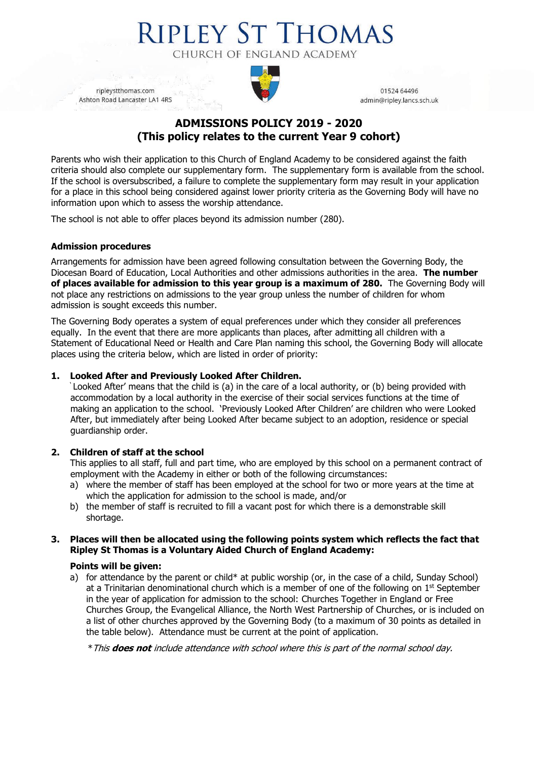# **RIPLEY ST THOMAS** CHURCH OF ENGLAND ACADEMY

ripleystthomas.com Ashton Road Lancaster LA1 4RS



01524 64496 admin@ripley.lancs.sch.uk

# **ADMISSIONS POLICY 2019 - 2020 (This policy relates to the current Year 9 cohort)**

Parents who wish their application to this Church of England Academy to be considered against the faith criteria should also complete our supplementary form. The supplementary form is available from the school. If the school is oversubscribed, a failure to complete the supplementary form may result in your application for a place in this school being considered against lower priority criteria as the Governing Body will have no information upon which to assess the worship attendance.

The school is not able to offer places beyond its admission number (280).

## **Admission procedures**

Arrangements for admission have been agreed following consultation between the Governing Body, the Diocesan Board of Education, Local Authorities and other admissions authorities in the area. **The number of places available for admission to this year group is a maximum of 280.** The Governing Body will not place any restrictions on admissions to the year group unless the number of children for whom admission is sought exceeds this number.

The Governing Body operates a system of equal preferences under which they consider all preferences equally. In the event that there are more applicants than places, after admitting all children with a Statement of Educational Need or Health and Care Plan naming this school, the Governing Body will allocate places using the criteria below, which are listed in order of priority:

## **1. Looked After and Previously Looked After Children.**

' Looked After' means that the child is (a) in the care of a local authority, or (b) being provided with accommodation by a local authority in the exercise of their social services functions at the time of making an application to the school. 'Previously Looked After Children' are children who were Looked After, but immediately after being Looked After became subject to an adoption, residence or special guardianship order.

# **2. Children of staff at the school**

This applies to all staff, full and part time, who are employed by this school on a permanent contract of employment with the Academy in either or both of the following circumstances:

- a) where the member of staff has been employed at the school for two or more years at the time at which the application for admission to the school is made, and/or
- b) the member of staff is recruited to fill a vacant post for which there is a demonstrable skill shortage.

#### **3. Places will then be allocated using the following points system which reflects the fact that Ripley St Thomas is a Voluntary Aided Church of England Academy:**

#### **Points will be given:**

a) for attendance by the parent or child\* at public worship (or, in the case of a child, Sunday School) at a Trinitarian denominational church which is a member of one of the following on  $1<sup>st</sup>$  September in the year of application for admission to the school: Churches Together in England or Free Churches Group, the Evangelical Alliance, the North West Partnership of Churches, or is included on a list of other churches approved by the Governing Body (to a maximum of 30 points as detailed in the table below). Attendance must be current at the point of application.

\*This **does not** include attendance with school where this is part of the normal school day.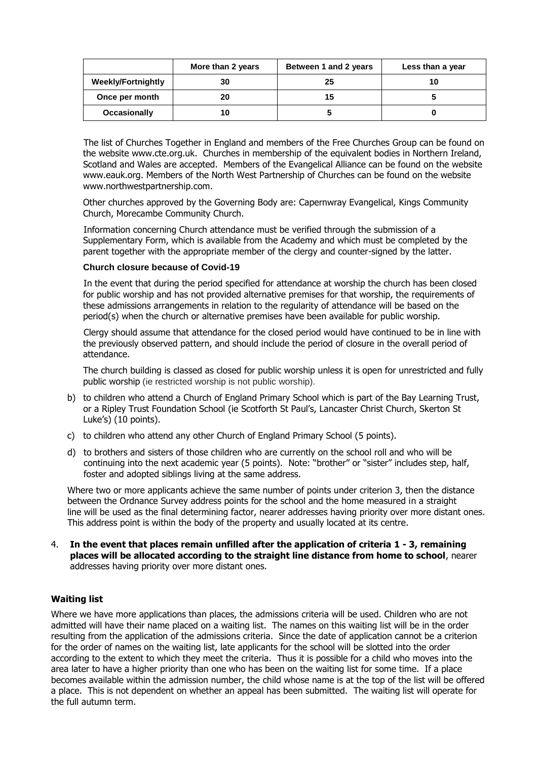|                           | More than 2 years | Between 1 and 2 years | Less than a year |
|---------------------------|-------------------|-----------------------|------------------|
| <b>Weekly/Fortnightly</b> | 30                | 25                    |                  |
| Once per month            | 20                | 15                    |                  |
| Occasionally              | 10                |                       |                  |

The list of Churches Together in England and members of the Free Churches Group can be found on the website [www.cte.org.uk.](http://www.cte.org.uk/) Churches in membership of the equivalent bodies in Northern Ireland, Scotland and Wales are accepted. Members of the Evangelical Alliance can be found on the website [www.eauk.org.](http://www.eauk.org/) Members of the North West Partnership of Churches can be found on the website [www.northwestpartnership.com.](http://www.northwestpartnership.com/)

Other churches approved by the Governing Body are: Capernwray Evangelical, Kings Community Church, Morecambe Community Church.

Information concerning Church attendance must be verified through the submission of a Supplementary Form, which is available from the Academy and which must be completed by the parent together with the appropriate member of the clergy and counter-signed by the latter.

#### **Church closure because of Covid-19**

In the event that during the period specified for attendance at worship the church has been closed for public worship and has not provided alternative premises for that worship, the requirements of these admissions arrangements in relation to the regularity of attendance will be based on the period(s) when the church or alternative premises have been available for public worship.

Clergy should assume that attendance for the closed period would have continued to be in line with the previously observed pattern, and should include the period of closure in the overall period of attendance.

The church building is classed as closed for public worship unless it is open for unrestricted and fully public worship (ie restricted worship is not public worship).

- b) to children who attend a Church of England Primary School which is part of the Bay Learning Trust, or a Ripley Trust Foundation School (ie Scotforth St Paul's, Lancaster Christ Church, Skerton St Luke's) (10 points).
- c) to children who attend any other Church of England Primary School (5 points).
- d) to brothers and sisters of those children who are currently on the school roll and who will be continuing into the next academic year (5 points). Note: "brother" or "sister" includes step, half, foster and adopted siblings living at the same address.

Where two or more applicants achieve the same number of points under criterion 3, then the distance between the Ordnance Survey address points for the school and the home measured in a straight line will be used as the final determining factor, nearer addresses having priority over more distant ones. This address point is within the body of the property and usually located at its centre.

4. **In the event that places remain unfilled after the application of criteria 1 - 3, remaining places will be allocated according to the straight line distance from home to school**, nearer addresses having priority over more distant ones.

#### **Waiting list**

Where we have more applications than places, the admissions criteria will be used. Children who are not admitted will have their name placed on a waiting list. The names on this waiting list will be in the order resulting from the application of the admissions criteria. Since the date of application cannot be a criterion for the order of names on the waiting list, late applicants for the school will be slotted into the order according to the extent to which they meet the criteria. Thus it is possible for a child who moves into the area later to have a higher priority than one who has been on the waiting list for some time. If a place becomes available within the admission number, the child whose name is at the top of the list will be offered a place. This is not dependent on whether an appeal has been submitted. The waiting list will operate for the full autumn term.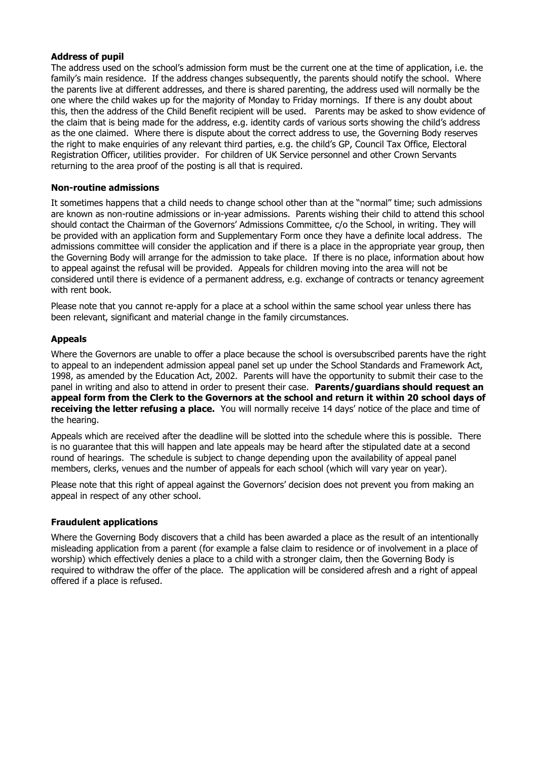#### **Address of pupil**

The address used on the school's admission form must be the current one at the time of application, i.e. the family's main residence. If the address changes subsequently, the parents should notify the school. Where the parents live at different addresses, and there is shared parenting, the address used will normally be the one where the child wakes up for the majority of Monday to Friday mornings. If there is any doubt about this, then the address of the Child Benefit recipient will be used. Parents may be asked to show evidence of the claim that is being made for the address, e.g. identity cards of various sorts showing the child's address as the one claimed. Where there is dispute about the correct address to use, the Governing Body reserves the right to make enquiries of any relevant third parties, e.g. the child's GP, Council Tax Office, Electoral Registration Officer, utilities provider. For children of UK Service personnel and other Crown Servants returning to the area proof of the posting is all that is required.

#### **Non-routine admissions**

It sometimes happens that a child needs to change school other than at the "normal" time; such admissions are known as non-routine admissions or in-year admissions. Parents wishing their child to attend this school should contact the Chairman of the Governors' Admissions Committee, c/o the School, in writing. They will be provided with an application form and Supplementary Form once they have a definite local address. The admissions committee will consider the application and if there is a place in the appropriate year group, then the Governing Body will arrange for the admission to take place. If there is no place, information about how to appeal against the refusal will be provided. Appeals for children moving into the area will not be considered until there is evidence of a permanent address, e.g. exchange of contracts or tenancy agreement with rent book.

Please note that you cannot re-apply for a place at a school within the same school year unless there has been relevant, significant and material change in the family circumstances.

# **Appeals**

Where the Governors are unable to offer a place because the school is oversubscribed parents have the right to appeal to an independent admission appeal panel set up under the School Standards and Framework Act, 1998, as amended by the Education Act, 2002. Parents will have the opportunity to submit their case to the panel in writing and also to attend in order to present their case. **Parents/guardians should request an appeal form from the Clerk to the Governors at the school and return it within 20 school days of receiving the letter refusing a place.** You will normally receive 14 days' notice of the place and time of the hearing.

Appeals which are received after the deadline will be slotted into the schedule where this is possible. There is no guarantee that this will happen and late appeals may be heard after the stipulated date at a second round of hearings. The schedule is subject to change depending upon the availability of appeal panel members, clerks, venues and the number of appeals for each school (which will vary year on year).

Please note that this right of appeal against the Governors' decision does not prevent you from making an appeal in respect of any other school.

#### **Fraudulent applications**

Where the Governing Body discovers that a child has been awarded a place as the result of an intentionally misleading application from a parent (for example a false claim to residence or of involvement in a place of worship) which effectively denies a place to a child with a stronger claim, then the Governing Body is required to withdraw the offer of the place. The application will be considered afresh and a right of appeal offered if a place is refused.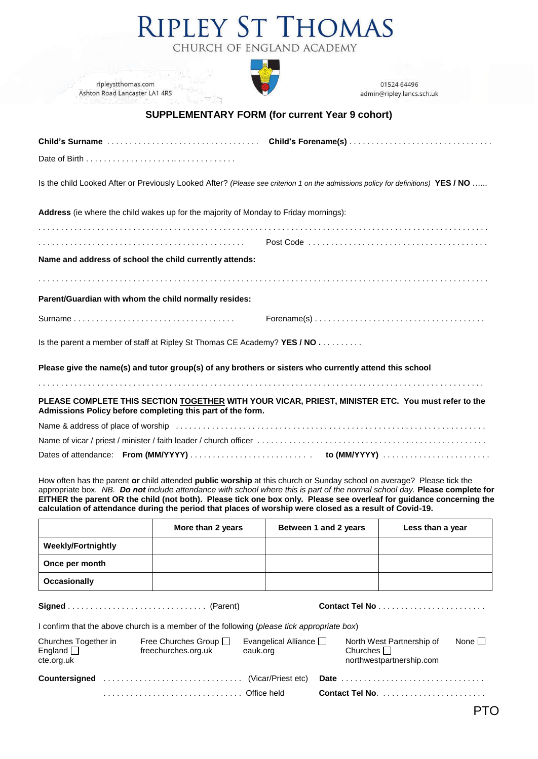# **RIPLEY ST THOMAS** CHURCH OF ENGLAND ACADEMY



ripleystthomas.com Ashton Road Lancaster LA1 4RS

01524 64496 admin@ripley.lancs.sch.uk

# **SUPPLEMENTARY FORM (for current Year 9 cohort)**

| Is the child Looked After or Previously Looked After? (Please see criterion 1 on the admissions policy for definitions) YES / NO                                 |                                                                                                      |  |  |  |  |
|------------------------------------------------------------------------------------------------------------------------------------------------------------------|------------------------------------------------------------------------------------------------------|--|--|--|--|
| Address (ie where the child wakes up for the majority of Monday to Friday mornings):                                                                             |                                                                                                      |  |  |  |  |
|                                                                                                                                                                  |                                                                                                      |  |  |  |  |
| Name and address of school the child currently attends:                                                                                                          |                                                                                                      |  |  |  |  |
|                                                                                                                                                                  |                                                                                                      |  |  |  |  |
| Parent/Guardian with whom the child normally resides:                                                                                                            |                                                                                                      |  |  |  |  |
|                                                                                                                                                                  | $\mathsf{Forename}(s) \dots \dots \dots \dots \dots \dots \dots \dots \dots \dots \dots \dots \dots$ |  |  |  |  |
| Is the parent a member of staff at Ripley St Thomas CE Academy? YES / NO                                                                                         |                                                                                                      |  |  |  |  |
| Please give the name(s) and tutor group(s) of any brothers or sisters who currently attend this school                                                           |                                                                                                      |  |  |  |  |
|                                                                                                                                                                  |                                                                                                      |  |  |  |  |
| PLEASE COMPLETE THIS SECTION TOGETHER WITH YOUR VICAR, PRIEST, MINISTER ETC. You must refer to the<br>Admissions Policy before completing this part of the form. |                                                                                                      |  |  |  |  |
|                                                                                                                                                                  |                                                                                                      |  |  |  |  |
|                                                                                                                                                                  |                                                                                                      |  |  |  |  |

Dates of attendance: **From (MM/YYYY)** . . . . . . . . . . . . . . . . . . . . . . . . . . . **to (MM/YYYY)** . . . . . . . . . . . . . . . . . . . . . . . .

How often has the parent **or** child attended **public worship** at this church or Sunday school on average? Please tick the appropriate box. *NB. Do not include attendance with school where this is part of the normal school day.* **Please complete for EITHER the parent OR the child (not both). Please tick one box only. Please see overleaf for guidance concerning the calculation of attendance during the period that places of worship were closed as a result of Covid-19.**

|                           | More than 2 years | Between 1 and 2 years | Less than a year |
|---------------------------|-------------------|-----------------------|------------------|
| <b>Weekly/Fortnightly</b> |                   |                       |                  |
| Once per month            |                   |                       |                  |
| Occasionally              |                   |                       |                  |

**Signed** . . . . . . . . . . . . . . . . . . . . . . . . . . . . . . . (Parent) **Contact Tel No** . . . . . . . . . . . . . . . . . . . . . . . .

PTO

I confirm that the above church is a member of the following (*please tick appropriate box*)

| Churches Together in<br>England $\square$<br>cte.org.uk | Free Churches Group $\Box$<br>freechurches.org.uk | Evangelical Alliance $\Box$<br>eauk.org | North West Partnership of<br>Churches $\Box$<br>northwestpartnership.com | None $\Box$ |
|---------------------------------------------------------|---------------------------------------------------|-----------------------------------------|--------------------------------------------------------------------------|-------------|
|                                                         |                                                   |                                         |                                                                          |             |
|                                                         |                                                   |                                         |                                                                          |             |